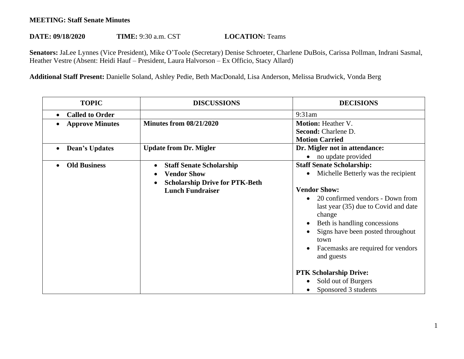## **MEETING: Staff Senate Minutes**

## **DATE: 09/18/2020 TIME:** 9:30 a.m. CST **LOCATION:** Teams

**Senators:** JaLee Lynnes (Vice President), Mike O'Toole (Secretary) Denise Schroeter, Charlene DuBois, Carissa Pollman, Indrani Sasmal, Heather Vestre (Absent: Heidi Hauf – President, Laura Halvorson – Ex Officio, Stacy Allard)

**Additional Staff Present:** Danielle Soland, Ashley Pedie, Beth MacDonald, Lisa Anderson, Melissa Brudwick, Vonda Berg

| <b>TOPIC</b>           | <b>DISCUSSIONS</b>                                                                                                        | <b>DECISIONS</b>                                                                                                                                                                                                                                                                                                                                                                                                   |
|------------------------|---------------------------------------------------------------------------------------------------------------------------|--------------------------------------------------------------------------------------------------------------------------------------------------------------------------------------------------------------------------------------------------------------------------------------------------------------------------------------------------------------------------------------------------------------------|
| <b>Called to Order</b> |                                                                                                                           | 9:31am                                                                                                                                                                                                                                                                                                                                                                                                             |
| <b>Approve Minutes</b> | <b>Minutes from 08/21/2020</b>                                                                                            | <b>Motion: Heather V.</b><br>Second: Charlene D.<br><b>Motion Carried</b>                                                                                                                                                                                                                                                                                                                                          |
| <b>Dean's Updates</b>  | <b>Update from Dr. Migler</b>                                                                                             | Dr. Migler not in attendance:<br>no update provided                                                                                                                                                                                                                                                                                                                                                                |
| <b>Old Business</b>    | <b>Staff Senate Scholarship</b><br><b>Vendor Show</b><br><b>Scholarship Drive for PTK-Beth</b><br><b>Lunch Fundraiser</b> | <b>Staff Senate Scholarship:</b><br>Michelle Betterly was the recipient<br><b>Vendor Show:</b><br>20 confirmed vendors - Down from<br>$\bullet$<br>last year (35) due to Covid and date<br>change<br>Beth is handling concessions<br>Signs have been posted throughout<br>town<br>Facemasks are required for vendors<br>and guests<br><b>PTK Scholarship Drive:</b><br>Sold out of Burgers<br>Sponsored 3 students |